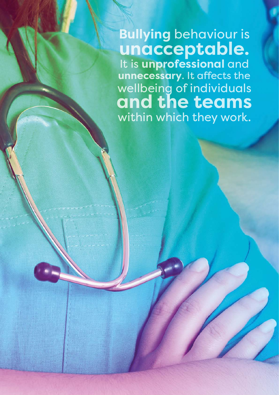**Bullying** behaviour is **unacceptable.**  It is **unprofessional** and **unnecessary**. It affects the wellbeing of individuals **and the teams** within which they work.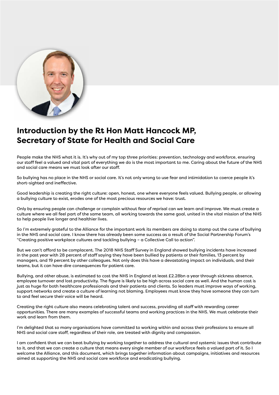

# **Introduction by the Rt Hon Matt Hancock MP, Secretary of State for Health and Social Care**

People make the NHS what it is. It's why out of my top three priorities: prevention, technology and workforce, ensuring our staff feel a valued and vital part of everything we do is the most important to me. Caring about the future of the NHS and social care means we must look after our staff.

So bullying has no place in the NHS or social care. It's not only wrong to use fear and intimidation to coerce people it's short-sighted and ineffective.

Good leadership is creating the right culture: open, honest, one where everyone feels valued. Bullying people, or allowing a bullying culture to exist, erodes one of the most precious resources we have: trust.

Only by ensuring people can challenge or complain without fear of reprisal can we learn and improve. We must create a culture where we all feel part of the same team, all working towards the same goal, united in the vital mission of the NHS to help people live longer and healthier lives.

So I'm extremely grateful to the Alliance for the important work its members are doing to stamp out the curse of bullying in the NHS and social care. I know there has already been some success as a result of the Social Partnership Forum's "Creating positive workplace cultures and tackling bullying – a Collective Call to action".

But we can't afford to be complacent. The 2018 NHS Staff Survey in England showed bullying incidents have increased in the past year with 28 percent of staff saying they have been bullied by patients or their families, 13 percent by managers, and 19 percent by other colleagues. Not only does this have a devastating impact on individuals, and their teams, but it can have dire consequences for patient care.

Bullying, and other abuse, is estimated to cost the NHS in England at least £2.28bn a year through sickness absence, employee turnover and lost productivity. The figure is likely to be high across social care as well. And the human cost is just as huge for both healthcare professionals and their patients and clients. So leaders must improve ways of working, support networks and create a culture of learning not blaming. Employees must know they have someone they can turn to and feel secure their voice will be heard.

Creating the right culture also means celebrating talent and success, providing all staff with rewarding career opportunities. There are many examples of successful teams and working practices in the NHS. We must celebrate their work and learn from them.

I'm delighted that so many organisations have committed to working within and across their professions to ensure all NHS and social care staff, regardless of their role, are treated with dignity and compassion.

I am confident that we can beat bullying by working together to address the cultural and systemic issues that contribute to it, and that we can create a culture that means every single member of our workforce feels a valued part of it. So I welcome the Alliance, and this document, which brings together information about campaigns, initiatives and resources aimed at supporting the NHS and social care workforce and eradicating bullying.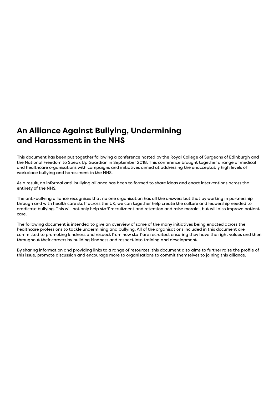# **An Alliance Against Bullying, Undermining and Harassment in the NHS**

This document has been put together following a conference hosted by the Royal College of Surgeons of Edinburgh and the National Freedom to Speak Up Guardian in September 2018. This conference brought together a range of medical and healthcare organisations with campaigns and initiatives aimed at addressing the unacceptably high levels of workplace bullying and harassment in the NHS.

As a result, an informal anti-bullying alliance has been to formed to share ideas and enact interventions across the entirety of the NHS.

The anti-bullying alliance recognises that no one organisation has all the answers but that by working in partnership through and with health care staff across the UK, we can together help create the culture and leadership needed to eradicate bullying. This will not only help staff recruitment and retention and raise morale , but will also improve patient care.

The following document is intended to give an overview of some of the many initiatives being enacted across the healthcare professions to tackle undermining and bullying. All of the organisations included in this document are committed to promoting kindness and respect from how staff are recruited, ensuring they have the right values and then throughout their careers by building kindness and respect into training and development.

By sharing information and providing links to a range of resources, this document also aims to further raise the profile of this issue, promote discussion and encourage more to organisations to commit themselves to joining this alliance.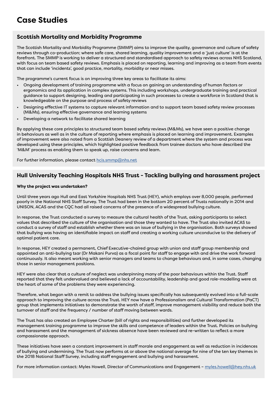# **Case Studies**

### **Scottish Mortality and Morbidity Programme**

The Scottish Mortality and Morbidity Programme (SMMP) aims to improve the quality, governance and culture of safety reviews through co-production; where safe care, shared learning, quality improvement and a 'just culture' is at the forefront. The SMMP is working to deliver a structured and standardised approach to safety reviews across NHS Scotland, with focus on team based safety reviews. Emphasis is placed on reporting, learning and improving as a team from events that can include 'incidents', good practice, mortality, morbidity or near misses.

The programme's current focus is on improving three key areas to facilitate its aims:

- Ongoing development of training programme with a focus on gaining an understanding of human factors or ergonomics and its application in complex systems. This including workshops, undergraduate training and practical guidance to support designing, leading and participating in such processes to create a workforce in Scotland that is knowledgeable on the purpose and process of safety reviews
- Designing effective IT systems to capture relevant information and to support team based safety review processes (M&Ms), ensuring effective governance and learning systems
- Developing a network to facilitate shared learning

By applying these core principles to structured team based safety reviews (M&Ms), we have seen a positive change in behaviours as well as in the culture of reporting where emphasis is placed on learning and improvement. Examples of improvement were also noted from a Scottish Deanery review of a department where the system and process was developed using these principles, which highlighted positive feedback from trainee doctors who have described the 'M&M' process as enabling them to speak up, raise concerns and learn.

For further information, please contact [hcis.smmp@nhs.net](mailto:hcis.smmp%40nhs.net%20?subject=)

### **Hull University Teaching Hospitals NHS Trust - Tackling bullying and harassment project**

#### **Why the project was undertaken?**

Until three years ago Hull and East Yorkshire Hospitals NHS Trust (HEY), which employs over 8,000 people, performed poorly in the National NHS Staff Survey. The Trust had been in the bottom 20 percent of Trusts nationally in 2014 and UNISON, ACAS and the CQC had all raised concerns of the presence of a widespread bullying culture.

In response, the Trust conducted a survey to measure the cultural health of the Trust, asking participants to select values that described the culture of the organisation and those they wanted to have. The Trust also invited ACAS to conduct a survey of staff and establish whether there was an issue of bullying in the organisation. Both surveys showed that bullying was having an identifiable impact on staff and creating a working culture unconducive to the delivery of optimal patient care.

In response, HEY created a permanent, Chief Executive-chaired group with union and staff group membership and appointed an anti-bullying tsar (Dr Makani Purva) as a focal point for staff to engage with and drive the work forward continuously. It also meant working with senior managers and teams to change behaviours and, in some cases, changing those in senior management positions.

HEY were also clear that a culture of neglect was underpinning many of the poor behaviours within the Trust. Staff reported that they felt undervalued and believed a lack of accountability, leadership and good role-modelling were at the heart of some of the problems they were experiencing.

Therefore, what began with a remit to address the bullying issues specifically has subsequently evolved into a full-scale approach to improving the culture across the Trust. HEY now have a Professionalism and Cultural Transformation (PaCT) group that implements initiatives to demonstrate the worth of staff, improve management visibility and reduce both the turnover of staff and the frequency / number of staff moving between wards.

The Trust has also created an Employee Charter (bill of rights and responsibilities) and further developed its management training programme to improve the skills and competence of leaders within the Trust. Policies on bullying and harassment and the management of sickness absence have been reviewed and re-written to reflect a more compassionate approach.

These initiatives have seen a constant improvement in staff morale and engagement as well as reduction in incidences of bullying and undermining. The Trust now performs at or above the national average for nine of the ten key themes in the 2018 National Staff Survey, including staff engagement and bullying and harassment.

For more information contact: Myles Howell, Director of Communications and Engagement - [myles.howell@hey.nhs.uk](mailto:myles.howell%40hey.nhs.uk?subject=)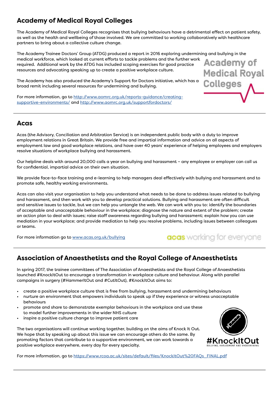# **Academy of Medical Royal Colleges**

The Academy of Medical Royal Colleges recognises that bullying behaviours have a detrimental effect on patient safety, as well as the health and wellbeing of those involved. We are committed to working collaboratively with healthcare partners to bring about a collective culture change.

The Academy Trainee Doctors' Group (ATDG) produced a report in 2016 exploring undermining and bullying in the medical workforce, which looked at current efforts to tackle problems and the further work Academy of required. Additional work by the ATDG has included scoping exercises for good practice resources and advocating speaking up to create a positive workplace culture. **Medical Royal** 

The Academy has also produced the Academy's Support for Doctors initiative, which has a broad remit including several resources for undermining and bullying.

For more information, go to [http://www.aomrc.org.uk/reports-guidance/creating](http://www.aomrc.org.uk/reports-guidance/creating-supportive-environments/)[supportive-environments/](http://www.aomrc.org.uk/reports-guidance/creating-supportive-environments/) and [http://www.aomrc.org.uk/supportfordoctors/](http://www.aomrc.org.uk/supportfordoctors/ )

### **Acas**

Acas (the Advisory, Conciliation and Arbitration Service) is an independent public body with a duty to improve employment relations in Great Britain. We provide free and impartial information and advice on all aspects of employment law and good workplace relations, and have over 40 years' experience of helping employees and employers resolve situations of workplace bullying and harassment.

Our helpline deals with around 20,000 calls a year on bullying and harassment – any employee or employer can call us for confidential, impartial advice on their own situation.

We provide face-to-face training and e-learning to help managers deal effectively with bullying and harassment and to promote safe, healthy working environments.

Acas can also visit your organisation to help you understand what needs to be done to address issues related to bullying and harassment, and then work with you to develop practical solutions. Bullying and harassment are often difficult and sensitive issues to tackle, but we can help you untangle the web. We can work with you to: identify the boundaries of acceptable and unacceptable behaviour in the workplace; diagnose the nature and extent of the problem; create an action plan to deal with issues; raise staff awareness regarding bullying and harassment; explain how you can use mediation in your workplace; and provide mediation to help you resolve problems, including issues between colleagues or teams.

For more information go to [www.acas.org.uk/bullying](http://www.acas.org.uk/bullying)

# acas working for everyone

Colleges

## **Association of Anaesthetists and the Royal College of Anaesthetists**

In spring 2017, the trainee committees of The Association of Anaesthetists and the Royal College of Anaesthetists launched #KnockItOut to encourage a transformation in workplace culture and behaviour. Along with parallel campaigns in surgery (#HammerItOut and #CutItOut), #KnockItOut aims to:

- create a positive workplace culture that is free from bullying, harassment and undermining behaviours
- nurture an environment that empowers individuals to speak up if they experience or witness unacceptable behaviours
- promote and share to demonstrate exemplar behaviours in the workplace and use these to model further improvements in the wider NHS culture
- inspire a positive culture change to improve patient care

The two organisations will continue working together, building on the aims of Knock It Out. We hope that by speaking up about this issue we can encourage others do the same. By promoting factors that contribute to a supportive environment, we can work towards a positive workplace everywhere, every day for every specialty.



For more information, go to [https://www.rcoa.ac.uk/sites/default/files/KnockItOut%20FAQs\\_FINAL.pdf](https://www.rcoa.ac.uk/sites/default/files/KnockItOut%20FAQs_FINAL.pdf)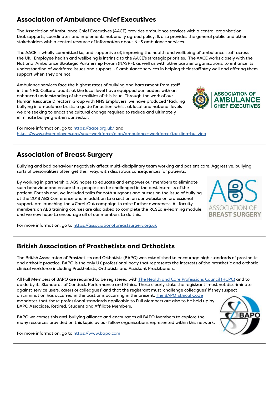# **Association of Ambulance Chief Executives**

The Association of Ambulance Chief Executives (AACE) provides ambulance services with a central organisation that supports, coordinates and implements nationally agreed policy. It also provides the general public and other stakeholders with a central resource of information about NHS ambulance services.

The AACE is wholly committed to, and supportive of, improving the health and wellbeing of ambulance staff across the UK. Employee health and wellbeing is intrinsic to the AACE's strategic priorities. The AACE works closely with the National Ambulance Strategic Partnership Forum (NASPF), as well as with other partner organisations, to enhance its understanding of workforce issues and support UK ambulance services in helping their staff stay well and offering them support when they are not.

Ambulance services face the highest rates of bullying and harassment from staff in the NHS. Cultural audits at the local level have equipped our leaders with an enhanced understanding of the realities of this issue. Through the work of our Human Resource Directors' Group with NHS Employers, we have produced 'Tackling bullying in ambulance trusts: a guide for action' whilst at local and national levels we are seeking to enact the cultural change required to reduce and ultimately eliminate bullying within our sector.

For more information, go to [https://aace.org.uk/](https://aace.org.uk/
) and https://www.nhsemployers.org/your-workforce/plan/ambulance-workforce/tackling-bullying

# **Association of Breast Surgery**

Bullying and bad behaviour negatively affect multi-disciplinary team working and patient care. Aggressive, bullying sorts of personalities often get their way, with disastrous consequences for patients.

By working in partnership, ABS hopes to educate and empower our members to eliminate such behaviour and ensure that people can be challenged in the best interests of the patient. For this end, we included talks for both surgeons and nurses on the issue of bullying at the 2018 ABS Conference and in addition to a section on our website on professional support, are launching the #CoreItOut campaign to raise further awareness. All faculty members on ABS training courses are also asked to complete the RCSEd e-learning module, and we now hope to encourage all of our members to do this.

For more information, go to [https://associationofbreastsurgery.org.uk](https://associationofbreastsurgery.org.uk/)

## **British Association of Prosthetists and Orthotists**

The British Association of Prosthetists and Orthotists (BAPO) was established to encourage high standards of prosthetic and orthotic practice. BAPO is the only UK professional body that represents the interests of the prosthetic and orthotic clinical workforce including Prosthetists, Orthotists and Assistant Practitioners.

All Full Members of BAPO are required to be registered with [The Health and Care Professions Council \(HCPC\)](https://www.hcpc-uk.org/) and to abide by its Standards of Conduct, Performance and Ethics. These clearly state the registrant 'must not discriminate against service users, carers or colleagues' and that the registrant must 'challenge colleagues' if they suspect discrimination has occurred in the past or is occurring in the present. [The BAPO Ethical Code](https://www.bapo.com/wp-content/uploads/2018/08/Ethical-Code-Update-April-18.pdf) mandates that these professional standards applicable to Full Members are also to be held up by BAPO Associate, Retired, Student and Affiliate Members.

BAPO welcomes this anti-bullying alliance and encourages all BAPO Members to explore the many resources provided on this topic by our fellow organisations represented within this network.



For more information, go to [https://www.bapo.com](https://www.bapo.com/)



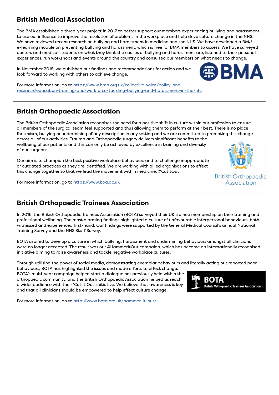# **British Medical Association**

The BMA established a three-year project in 2017 to better support our members experiencing bullying and harassment, to use our influence to improve the resolution of problems in the workplace and help drive culture change in the NHS. We have reviewed recent research on bullying and harassment in medicine and the NHS. We have developed a BMJ e-learning module on preventing bullying and harassment, which is free for BMA members to access. We have surveyed doctors and medical students on what they think the causes of bullying and harassment are, listened to their personal experiences, run workshops and events around the country and consulted our members on what needs to change.

In November 2018, we published our findings and recommendations for action and we look forward to working with others to achieve change.



## **British Orthopaedic Association**

The British Orthopaedic Association recognises the need for a positive shift in culture within our profession to ensure all members of the surgical team feel supported and thus allowing them to perform at their best. There is no place for sexism, bullying or undermining of any description in any setting and we are committed to promoting this change across all of our activities. Trauma and Orthopaedic surgery delivers significant benefits to the wellbeing of our patients and this can only be achieved by excellence in training and diversity of our surgeons.

Our aim is to champion the best positive workplace behaviours and to challenge inappropriate or outdated practices as they are identified. We are working with allied organisations to effect this change together so that we lead the movement within medicine. #CutItOut

For more information, go to [https://www.boa.ac.uk](https://www.boa.ac.uk/)

## **British Orthopaedic Trainees Association**

In 2016, the British Orthopaedic Trainees Association (BOTA) surveyed their UK trainee membership on their training and professional wellbeing. The most alarming findings highlighted a culture of unfavourable interpersonal behaviours, both witnessed and experienced first-hand. Our findings were supported by the General Medical Council's annual National Training Survey and the NHS Staff Survey.

BOTA aspired to develop a culture in which bullying, harassment and undermining behaviours amongst all clinicians were no longer accepted. The result was our #HammerItOut campaign, which has become an internationally recognised initiative aiming to raise awareness and tackle negative workplace cultures.

Through utilising the power of social media, demonstrating exemplar behaviours and literally acting out reported poor behaviours, BOTA has highlighted the issues and made efforts to effect change.

BOTA's multi-year campaign helped start a dialogue not previously held within the orthopaedic community, and the British Orthopaedic Association helped us reach a wider audience with their 'Cut It Out' initiative. We believe that awareness is key and that all clinicians should be empowered to help effect culture change.

For more information, go to <http://www.bota.org.uk/hammer-it-out/>



**British Orthopaedic** Association



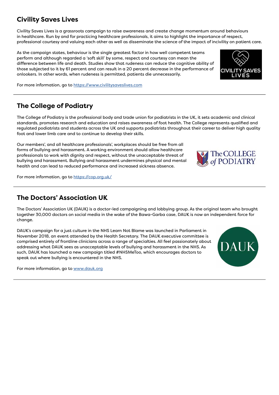# **Civility Saves Lives**

Civility Saves Lives is a grassroots campaign to raise awareness and create change momentum around behaviours in healthcare. Run by and for practicing healthcare professionals, it aims to highlight the importance of respect, professional courtesy and valuing each other as well as disseminate the science of the impact of incivility on patient care.

As the campaign states, behaviour is the single greatest factor in how well competent teams perform and although regarded a 'soft skill' by some, respect and courtesy can mean the difference between life and death. Studies show that rudeness can reduce the cognitive ability of those subjected to it by 61 percent and can result in a 20 percent decrease in the performance of onlookers. In other words, when rudeness is permitted, patients die unnecessarily.



For more information, go to [https://www.civilitysaveslives.com](https://www.civilitysaveslives.com/)

# **The College of Podiatry**

The College of Podiatry is the professional body and trade union for podiatrists in the UK, it sets academic and clinical standards, promotes research and education and raises awareness of foot health. The College represents qualified and regulated podiatrists and students across the UK and supports podiatrists throughout their career to deliver high quality foot and lower limb care and to continue to develop their skills.

Our members', and all healthcare professionals', workplaces should be free from all forms of bullying and harassment. A working environment should allow healthcare professionals to work with dignity and respect, without the unacceptable threat of bullying and harassment. Bullying and harassment undermines physical and mental health and can lead to reduced performance and increased sickness absence.

For more information, go to <https://cop.org.uk/>

### **The Doctors' Association UK**

The Doctors' Association UK (DAUK) is a doctor-led campaigning and lobbying group. As the original team who brought together 30,000 doctors on social media in the wake of the Bawa-Garba case, DAUK is now an independent force for change.

DAUK's campaign for a just culture in the NHS Learn Not Blame was launched in Parliament in November 2018, an event attended by the Health Secretary. The DAUK executive committee is comprised entirely of frontline clinicians across a range of specialties. All feel passionately about addressing what DAUK sees as unacceptable levels of bullying and harassment in the NHS. As such, DAUK has launched a new campaign titled #NHSMeToo, which encourages doctors to speak out where bullying is encountered in the NHS.

For more information, go to [www.dauk.org](http://www.dauk.org/)



The COLLEGE **PODIATRY**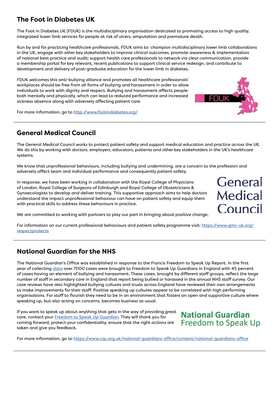## **The Foot in Diabetes UK**

The Foot in Diabetes UK (FDUK) is the multidisciplinary organisation dedicated to promoting access to high quality, integrated lower limb services for people at risk of ulcers, amputation and premature death.

Run by and for practicing healthcare professionals, FDUK aims to: champion multidisciplinary lower limb collaborations in the UK, engage with other key stakeholders to improve clinical outcomes, promote awareness & implementation of national best practice and audit; support health care professionals to network via clear communication, provide a membership portal for key relevant, recent publications to support clinical service redesign, and contribute to development and delivery of post-graduate education for the lower limb in diabetes.

FDUK welcomes this anti-bullying alliance and promotes all healthcare professionals' workplaces should be free from all forms of bullying and harassment in order to allow individuals to work with dignity and respect. Bullying and harassment affects people both mentally and physically, which can lead to reduced performance and increased sickness absence along with adversely affecting patient care.

For more information, go to <http://www.footindiabetes.org/>

### **General Medical Council**

The General Medical Council works to protect patient safety and support medical education and practice across the UK. We do this by working with doctors, employers, educators, patients and other key stakeholders in the UK's healthcare systems.

We know that unprofessional behaviours, including bullying and undermining, are a concern to the profession and adversely affect team and individual performance and consequently patient safety.

In response, we have been working in collaboration with the Royal College of Physicians of London, Royal College of Surgeons of Edinburgh and Royal College of Obstetricians & Gynaecologists to develop and deliver training. This supportive approach aims to help doctors understand the impact unprofessional behaviour can have on patient safety and equip them with practical skills to address these behaviours in practice.

We are committed to working with partners to play our part in bringing about positive change.

For information on our current professional behaviours and patient safety programme visit: [https://www.gmc-uk.org/](https://www.gmc-uk.org/respectprotects) [respectprotects](https://www.gmc-uk.org/respectprotects)

### **National Guardian for the NHS**

The National Guardian's Office was established in response to the Francis Freedom to Speak Up Report. In the first year of collecting [data](https://www.cqc.org.uk/national-guardians-office/content/speaking-data) over 7000 cases were brought to Freedom to Speak Up Guardians in England with 45 percent of cases having an element of bullying and harassment. These cases, brought by different staff groups, reflect the large number of staff in secondary care in England that report being bullied or harassed in the annual NHS staff survey. Our case reviews have also highlighted bullying cultures and trusts across England have reviewed their own arrangements to make improvements for their staff. Positive speaking up cultures appear to be correlated with high performing organisations. For staff to flourish they need to be in an environment that fosters an open and supportive culture where speaking up, but also acting on concerns, becomes business as usual.

If you want to speak up about anything that gets in the way of providing great care, contact your [Freedom to Speak Up Guardian](https://www.cqc.org.uk/national-guardians-office/content/freedom-speak-guardian-directory). They will thank you for coming forward, protect your confidentiality, ensure that the right actions are taken and give you feedback.

# **National Guardian Freedom to Speak Up**

For more information, go to [https://www.cqc.org.uk/national-guardians-office/content/national-guardians-office](https://www.cqc.org.uk/national-guardians-office/content/national-guardians-office )



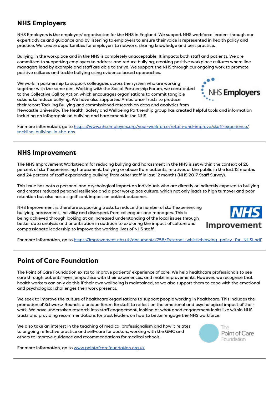### **NHS Employers**

NHS Employers is the employers' organisation for the NHS in England. We support NHS workforce leaders through our expert advice and guidance and by listening to employers to ensure their voice is represented in health policy and practice. We create opportunities for employers to network, sharing knowledge and best practice.

Bullying in the workplace and in the NHS is completely unacceptable. It impacts both staff and patients. We are committed to supporting employers to address and reduce bullying, creating positive workplace cultures where line managers lead by example and staff are able to thrive. We support the NHS through our ongoing work to promote positive cultures and tackle bullying using evidence based approaches.

We work in partnership to support colleagues across the system who are working together with the same aim. Working with the Social Partnership Forum, we contributed to the Collective Call to Action which encourages organisations to commit tangible actions to reduce bullying. We have also supported Ambulance Trusts to produce their report Tackling Bullying and commissioned research on data and analytics from

Newcastle University. The Health, Safety and Wellbeing Partnership group has created helpful tools and information

including an infographic on bullying and harassment in the NHS.

For more information, go to [https://www.nhsemployers.org/your-workforce/retain-and-improve/staff-experience/](https://www.nhsemployers.org/your-workforce/retain-and-improve/staff-experience/tackling-bullying-in-the-nhs
/) [tackling-bullying-in-the-nhs](https://www.nhsemployers.org/your-workforce/retain-and-improve/staff-experience/tackling-bullying-in-the-nhs
/)

### **NHS Improvement**

The NHS Improvement Workstream for reducing bullying and harassment in the NHS is set within the context of 28 percent of staff experiencing harassment, bullying or abuse from patients, relatives or the public in the last 12 months and 24 percent of staff experiencing bullying from other staff in last 12 months (NHS 2017 Staff Survey).

This issue has both a personal and psychological impact on individuals who are directly or indirectly exposed to bullying and creates reduced personal resilience and a poor workplace culture, which not only leads to high turnover and poor retention but also has a significant impact on patient outcomes.

NHS Improvement is therefore supporting trusts to reduce the number of staff experiencing bullying, harassment, incivility and disrespect from colleagues and managers. This is being achieved through looking at an increased understanding of the local issues through better data analysis and prioritisation in addition to exploring the impact of culture and compassionate leadership to improve the working lives of NHS staff.



**S Employers** 

For more information, go to [https://improvement.nhs.uk/documents/756/External\\_whistleblowing\\_policy\\_for\\_NHSI.pdf](https://improvement.nhs.uk/documents/756/External_whistleblowing_policy_for_NHSI.pdf)

## **Point of Care Foundation**

The Point of Care Foundation exists to improve patients' experience of care. We help healthcare professionals to see care through patients' eyes, empathise with their experiences, and make improvements. However, we recognise that health workers can only do this if their own wellbeing is maintained, so we also support them to cope with the emotional and psychological challenges their work presents.

We seek to improve the culture of healthcare organisations to support people working in healthcare. This includes the promotion of Schwartz Rounds, a unique forum for staff to reflect on the emotional and psychological impact of their work. We have undertaken research into staff engagement, looking at what good engagement looks like within NHS trusts and providing recommendations for trust leaders on how to better engage the NHS workforce.

We also take an interest in the teaching of medical professionalism and how it relates to ongoing reflective practice and self-care for doctors, working with the GMC and others to improve guidance and recommendations for medical schools.



For more information, go to [www.pointofcarefoundation.org.uk](https://www.pointofcarefoundation.org.uk/)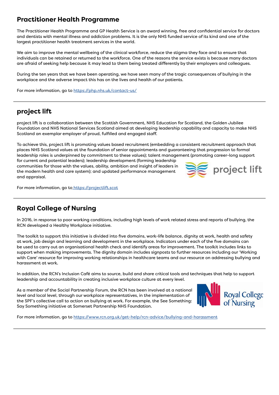### **Practitioner Health Programme**

The Practitioner Health Programme and GP Health Service is an award winning, free and confidential service for doctors and dentists with mental illness and addiction problems. It is the only NHS funded service of its kind and one of the largest practitioner health treatment services in the world.

We aim to improve the mental wellbeing of the clinical workforce, reduce the stigma they face and to ensure that individuals can be retained or returned to the workforce. One of the reasons the service exists is because many doctors are afraid of seeking help because it may lead to them being treated differently by their employers and colleagues.

During the ten years that we have been operating, we have seen many of the tragic consequences of bullying in the workplace and the adverse impact this has on the lives and health of our patients.

For more information, go to <https://php.nhs.uk/contact-us/>

## **project lift**

project lift is a collaboration between the Scottish Government, NHS Education for Scotland, the Golden Jubilee Foundation and NHS National Services Scotland aimed at developing leadership capability and capacity to make NHS Scotland an exemplar employer of proud, fulfilled and engaged staff.

To achieve this, project lift is promoting values based recruitment (embedding a consistent recruitment approach that places NHS Scotland values at the foundation of senior appointments and guaranteeing that progression to formal leadership roles is underpinned by commitment to these values); talent management (promoting career-long support

for current and potential leaders); leadership development (forming leadership communities for those with the values, ability, ambition and insight of leaders in the modern health and care system); and updated performance management and appraisal.



For more information, go to [https://projectlift.scot](https://projectlift.scot/)

# **Royal College of Nursing**

In 2016, in response to poor working conditions, including high levels of work related stress and reports of bullying, the RCN developed a Healthy Workplace initiative.

The toolkit to support this initiative is divided into five domains, work-life balance, dignity at work, health and safety at work, job design and learning and development in the workplace. Indicators under each of the five domains can be used to carry out an organisational health check and identify areas for improvement. The toolkit includes links to support when making improvements. The dignity domain includes signposts to further resources including our 'Working with Care' resource for improving working relationships in healthcare teams and our resource on addressing bullying and harassment at work.

In addition, the RCN's Inclusion Café aims to source, build and share critical tools and techniques that help to support leadership and accountability in creating inclusive workplace culture at every level.

As a member of the Social Partnership Forum, the RCN has been involved at a national level and local level, through our workplace representatives, in the implementation of the SPF's collective call to action on bullying at work. For example, the See Something: Say Something initiative at Somerset Partnership NHS Foundation.



For more information, go to <https://www.rcn.org.uk/get-help/rcn-advice/bullying-and-harassment>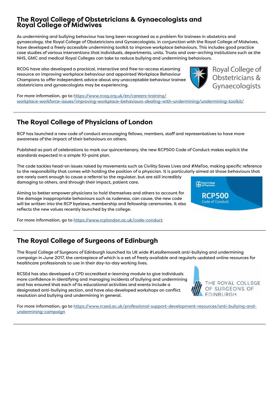### **The Royal College of Obstetricians & Gynaecologists and Royal College of Midwives**

As undermining and bullying behaviour has long been recognised as a problem for trainees in obstetrics and gynaecology, the Royal College of Obstetricians and Gynaecologists, in conjunction with the Royal College of Midwives, have developed a freely accessible undermining toolkit to improve workplace behaviours. This includes good practice case studies of various interventions that individuals, departments, units, Trusts and over-arching institutions such as the NHS, GMC and medical Royal Colleges can take to reduce bullying and undermining behaviours.

RCOG have also developed a practical, interactive and free-to-access eLearning resource on improving workplace behaviour and appointed Workplace Behaviour Champions to offer independent advice about any unacceptable behaviour trainee obstetricians and gynaecologists may be experiencing.

For more information, go to [https://www.rcog.org.uk/en/careers-training/](https://www.rcog.org.uk/en/careers-training/workplace-workforce-issues/improving-workplace-behaviours-dealing-with-undermining/undermining-toolkit/) [workplace-workforce-issues/improving-workplace-behaviours-dealing-with-undermining/undermining-toolkit/](https://www.rcog.org.uk/en/careers-training/workplace-workforce-issues/improving-workplace-behaviours-dealing-with-undermining/undermining-toolkit/)

# **The Royal College of Physicians of London**

RCP has launched a new code of conduct encouraging fellows, members, staff and representatives to have more awareness of the impact of their behaviours on others.

Published as part of celebrations to mark our quincentenary, the new RCP500 Code of Conduct makes explicit the standards expected in a simple 10-point plan.

The code tackles head-on issues raised by movements such as Civility Saves Lives and #MeToo, making specific reference to the responsibility that comes with holding the position of a physician. It is particularly aimed at those behaviours that are rarely overt enough to cause a referral to the regulator, but are still incredibly damaging to others, and through their impact, patient care.

Aiming to better empower physicians to hold themselves and others to account for the damage inappropriate behaviours such as rudeness, can cause, the new code will be written into the RCP byelaws, membership and fellowship ceremonies. It also reflects the new values recently launched by the college.

For more information, go to <https://www.rcplondon.ac.uk/code-conduct>

# **The Royal College of Surgeons of Edinburgh**

The Royal College of Surgeons of Edinburgh launched its UK wide #LetsRemovelt anti-bullying and undermining campaign in June 2017, the centrepiece of which is a set of freely available and regularly updated online resources for healthcare professionals to use in their day-to-day working lives.

RCSEd has also developed a CPD accredited e-learning module to give individuals more confidence in identifying and managing incidents of bullying and undermining and has ensured that each of its educational activities and events include a designated anti-bullying section, and have also developed workshops on conflict resolution and bullying and undermining in general.

For more information, go to [https://www.rcsed.ac.uk/professional-support-development-resources/anti-bullying-and](https://www.rcsed.ac.uk/professional-support-development-resources/anti-bullying-and-undermining-campaign)[undermining-campaign](https://www.rcsed.ac.uk/professional-support-development-resources/anti-bullying-and-undermining-campaign)



THE ROYAL COLLEGE OF SURGEONS OF

EDINBURGH



Royal College of Obstetricians & Gynaecologists

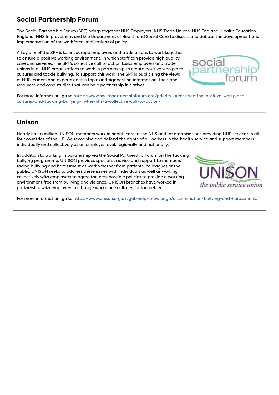# **Social Partnership Forum**

The Social Partnership Forum (SPF) brings together NHS Employers, NHS Trade Unions, NHS England, Health Education England, NHS Improvement and the Department of Health and Social Care to discuss and debate the development and implementation of the workforce implications of policy.

A key aim of the SPF is to encourage employers and trade unions to work together to ensure a positive working environment, in which staff can provide high quality care and services. The SPF's collective call to action tasks employers and trade unions in all NHS organisations to work in partnership to create positive workplace cultures and tackle bullying. To support this work, the SPF is publicising the views of NHS leaders and experts on this topic and signposting information, tools and resources and case studies that can help partnership initiatives.



For more information, go to [https://www.socialpartnershipforum.org/priority-areas/creating-positive-workplace](https://www.socialpartnershipforum.org/priority-areas/creating-positive-workplace-cultures-and-tackling-bullying-in-the-nhs-a-collective-call-to-action/)[cultures-and-tackling-bullying-in-the-nhs-a-collective-call-to-action/](https://www.socialpartnershipforum.org/priority-areas/creating-positive-workplace-cultures-and-tackling-bullying-in-the-nhs-a-collective-call-to-action/)

### **Unison**

Nearly half a million UNISON members work in health care in the NHS and for organisations providing NHS services in all four countries of the UK. We recognise and defend the rights of all workers in the health service and support members individually and collectively at an employer level, regionally and nationally.

In addition to working in partnership via the Social Partnership Forum on the tackling bullying programme, UNISON provides specialist advice and support to members facing bullying and harassment at work whether from patients, colleagues or the public. UNISON seeks to address these issues with individuals as well as working collectively with employers to agree the best possible policies to provide a working environment free from bullying and violence. UNISON branches have worked in partnership with employers to change workplace cultures for the better.



For more information, go to <https://www.unison.org.uk/get-help/knowledge/discrimination/bullying-and-harassment/>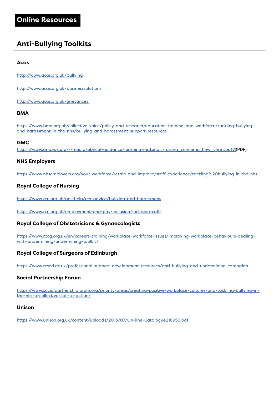# **Anti-Bullying Toolkits**

#### **Acas**

<http://www.acas.org.uk/bullying>

<http://www.acas.org.uk/businesssolutions>

[http://www.acas.org.uk/grievances](http://www.acas.org.uk/grievances ) 

### **BMA**

[https://www.bma.org.uk/collective-voice/policy-and-research/education-training-and-workforce/tackling-bullying](https://www.bma.org.uk/collective-voice/policy-and-research/education-training-and-workforce/tackling-bullying-and-harassment-in-the-nhs/bullying-and-harassment-support-resources)[and-harassment-in-the-nhs/bullying-and-harassment-support-resources](https://www.bma.org.uk/collective-voice/policy-and-research/education-training-and-workforce/tackling-bullying-and-harassment-in-the-nhs/bullying-and-harassment-support-resources)

#### **GMC**

[https://www.gmc-uk.org/-/media/ethical-guidance/learning-materials/raising\\_concerns\\_flow\\_chart.pdf?l\(PDF\)](https://www.gmc-uk.org/-/media/ethical-guidance/learning-materials/raising_concerns_flow_chart.pdf?l)

### **NHS Employers**

<https://www.nhsemployers.org/your-workforce/retain-and-improve/staff-experience/tackling%20bullying-in-the-nhs>

### **Royal College of Nursing**

<https://www.rcn.org.uk/get-help/rcn-advice/bullying-and-harassment>

<https://www.rcn.org.uk/employment-and-pay/inclusion/inclusion-cafe>

### **Royal College of Obstetricians & Gynaecologists**

[https://www.rcog.org.uk/en/careers-training/workplace-workforce-issues/improving-workplace-behaviours-dealing](https://www.rcog.org.uk/en/careers-training/workplace-workforce-issues/improving-workplace-behaviours-dealing-with-undermining/undermining-toolkit/)[with-undermining/undermining-toolkit/](https://www.rcog.org.uk/en/careers-training/workplace-workforce-issues/improving-workplace-behaviours-dealing-with-undermining/undermining-toolkit/)

### **Royal College of Surgeons of Edinburgh**

https://www.rcsed.ac.uk/professional-support-development-resources/anti-bullying-and-undermining-campaign

### **Social Partnership Forum**

[https://www.socialpartnershipforum.org/priority-areas/creating-positive-workplace-cultures-and-tackling-bullying-in](https://www.socialpartnershipforum.org/priority-areas/creating-positive-workplace-cultures-and-tackling-bullying-in-the-nhs-a-collective-call-to-action/)[the-nhs-a-collective-call-to-action/](https://www.socialpartnershipforum.org/priority-areas/creating-positive-workplace-cultures-and-tackling-bullying-in-the-nhs-a-collective-call-to-action/)

#### **Unison**

<https://www.unison.org.uk/content/uploads/2013/07/On-line-Catalogue216953.pdf>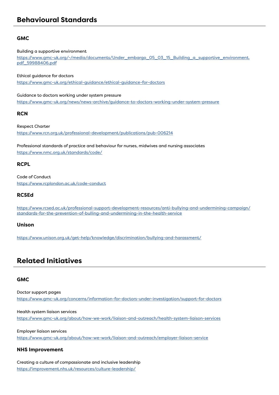### **GMC**

#### Building a supportive environment

[https://www.gmc-uk.org/-/media/documents/Under\\_embargo\\_05\\_03\\_15\\_Building\\_a\\_supportive\\_environment.](https://www.gmc-uk.org/-/media/documents/Under_embargo_05_03_15_Building_a_supportive_environment.pdf_59988406.pdf) [pdf\\_59988406.pdf](https://www.gmc-uk.org/-/media/documents/Under_embargo_05_03_15_Building_a_supportive_environment.pdf_59988406.pdf)

Ethical guidance for doctors

<https://www.gmc-uk.org/ethical-guidance/ethical-guidance-for-doctors>

Guidance to doctors working under system pressure

<https://www.gmc-uk.org/news/news-archive/guidance-to-doctors-working-under-system-pressure>

**RCN**

Respect Charter <https://www.rcn.org.uk/professional-development/publications/pub-006214>

Professional standards of practice and behaviour for nurses, midwives and nursing associates <https://www.nmc.org.uk/standards/code/>

### **RCPL**

Code of Conduct https://www.rcplondon.ac.uk/code-conduc[t](https://www.rcplondon.ac.uk/code-conduct )

### **RCSEd**

[https://www.rcsed.ac.uk/professional-support-development-resources/anti-bullying-and-undermining-campaign/](https://www.rcsed.ac.uk/professional-support-development-resources/anti-bullying-and-undermining-campaign/standards-for-the-prevention-of-bulling-and-undermining-in-the-health-service) [standards-for-the-prevention-of-bulling-and-undermining-in-the-health-service](https://www.rcsed.ac.uk/professional-support-development-resources/anti-bullying-and-undermining-campaign/standards-for-the-prevention-of-bulling-and-undermining-in-the-health-service)

#### **Unison**

<https://www.unison.org.uk/get-help/knowledge/discrimination/bullying-and-harassment/>

# **Related Initiatives**

### **GMC**

Doctor support pages <https://www.gmc-uk.org/concerns/information-for-doctors-under-investigation/support-for-doctors>

Health system liaison services <https://www.gmc-uk.org/about/how-we-work/liaison-and-outreach/health-system-liaison-services>

Employer liaison services <https://www.gmc-uk.org/about/how-we-work/liaison-and-outreach/employer-liaison-service>

### **NHS Improvement**

Creating a culture of compassionate and inclusive leadership <https://improvement.nhs.uk/resources/culture-leadership/>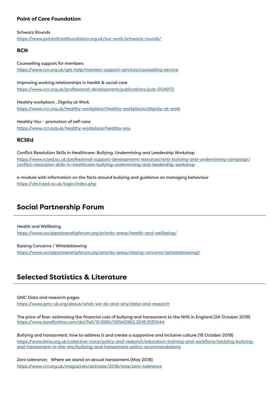#### **Point of Care Foundation**

Schwarz Rounds [https://www.pointofcarefoundation.org.uk/our-work/schwartz-rounds/]((https://www.pointofcarefoundation.org.uk/our-work/schwartz-rounds/) )

#### **RCN**

Counselling support for members [https://www.rcn.org.uk/get-help/member-support-services/counselling-service]((https://www.rcn.org.uk/get-help/member-support-services/counselling-service) )

Improving working relationships in health & social care [https://www.rcn.org.uk/professional-development/publications/pub-004972]((https://www.rcn.org.uk/professional-development/publications/pub-004972))

Healthy workplace , Dignity at Work [https://www.rcn.org.uk/healthy-workplace/healthy-workplaces/dignity-at-work]((https://www.rcn.org.uk/healthy-workplace/healthy-workplaces/dignity-at-work) )

Healthy You – promotion of self-care [https://www.rcn.org.uk/healthy-workplace/healthy-you]((https://www.rcn.org.uk/healthy-workplace/healthy-you) )

### **RCSEd**

Conflict Resolution Skills in Healthcare: Bullying, Undermining and Leadership Workshop [https://www.rcsed.ac.uk/professional-support-development-resources/anti-bullying-and-undermining-campaign/]((https://www.rcsed.ac.uk/professional-support-development-resources/anti-bullying-and-undermining-ca) [conflict-resolution-skills-in-healthcare-bullying-undermining-and-leadership-workshop]((https://www.rcsed.ac.uk/professional-support-development-resources/anti-bullying-and-undermining-ca)

e-module with information on the facts around bullying and guidance on managing behaviour [https://vle.rcsed.ac.uk/login/index.php]((https://vle.rcsed.ac.uk/login/index.php))

# **Social Partnership Forum**

Health and Wellbeing [https://www.socialpartnershipforum.org/priority-areas/health-and-wellbeing/]((https://www.socialpartnershipforum.org/priority-areas/health-and-wellbeing/) )

Raising Concerns / Whistleblowing [https://www.socialpartnershipforum.org/priority-areas/raising-concerns-\(whistleblowing\)/]((https://www.socialpartnershipforum.org/priority-areas/raising-concerns-(whistleblowing)/))

## **Selected Statistics & Literature**

GMC Data and research pages

[https://www.gmc-uk.org/about/what-we-do-and-why/data-and-research]( (https://www.gmc-uk.org/about/what-we-do-and-why/data-and-research))

The price of fear: estimating the financial cost of bullying and harassment to the NHS in England (24 October 2018) [https://www.tandfonline.com/doi/full/10.1080/09540962.2018.1535044]((https://www.tandfonline.com/doi/full/10.1080/09540962.2018.1535044) )

Bullying and harassment: how to address it and create a supportive and inclusive culture (18 October 2018) [https://www.bma.org.uk/collective-voice/policy-and-research/education-training-and-workforce/tackling-bullying]( (https://www.bma.org.uk/collective-voice/policy-and-research/education-training-and-workforce/tackl)[and-harassment-in-the-nhs/bullying-and-harassment-policy-recommendations]( (https://www.bma.org.uk/collective-voice/policy-and-research/education-training-and-workforce/tackl)

Zero tolerance; Where we stand on sexual harassment (May 2018) [https://www.rcn.org.uk/magazines/activate/2018/may/zero-tolerance]((https://www.rcn.org.uk/magazines/activate/2018/may/zero-tolerance) )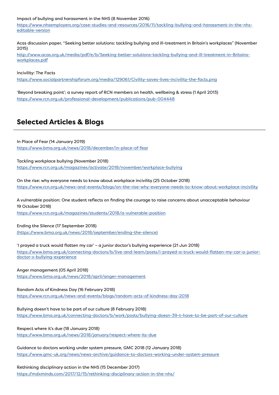#### Impact of bullying and harassment in the NHS (8 November 2016)

[https://www.nhsemployers.org/case-studies-and-resources/2016/11/tackling-bullying-and-harassment-in-the-nhs]((https://www.nhsemployers.org/case-studies-and-resources/2016/11/tackling-bullying-and-harassment-in)[editable-version]((https://www.nhsemployers.org/case-studies-and-resources/2016/11/tackling-bullying-and-harassment-in)

Acas discussion paper, "Seeking better solutions: tackling bullying and ill-treatment in Britain's workplaces" (November 2015)

[http://www.acas.org.uk/media/pdf/e/b/Seeking-better-solutions-tackling-bullying-and-ill-treatment-in-Britains]((http://www.acas.org.uk/media/pdf/e/b/Seeking-better-solutions-tackling-bullying-and-ill-treatment-i)[workplaces.pdf]((http://www.acas.org.uk/media/pdf/e/b/Seeking-better-solutions-tackling-bullying-and-ill-treatment-i)

Incivility: The Facts

[https://www.socialpartnershipforum.org/media/129061/Civility-saves-lives-incivility-the-facts.png]( (https://www.socialpartnershipforum.org/media/129061/Civility-saves-lives-incivility-the-facts.png))

'Beyond breaking point'; a survey report of RCN members on health, wellbeing & stress (1 April 2013) [https://www.rcn.org.uk/professional-development/publications/pub-004448]( (https://www.rcn.org.uk/professional-development/publications/pub-004448) )

# **Selected Articles & Blogs**

In Place of Fear (14 January 2019) [https://www.bma.org.uk/news/2018/december/in-place-of-fear]((https://www.bma.org.uk/news/2018/december/in-place-of-fear) )

Tackling workplace bullying (November 2018) [https://www.rcn.org.uk/magazines/activate/2018/november/workplace-bullying]( (https://www.rcn.org.uk/magazines/activate/2018/november/workplace-bullying)  )

On the rise: why everyone needs to know about workplace incivility (25 October 2018) [https://www.rcn.org.uk/news-and-events/blogs/on-the-rise-why-everyone-needs-to-know-about-workplace-incivility]( (https://www.rcn.org.uk/news-and-events/blogs/on-the-rise-why-everyone-needs-to-know-about-workplac)

A vulnerable position; One student reflects on finding the courage to raise concerns about unacceptable behaviour [19 October 2018\)]( (19 October 2018) (https://www.rcn.org.uk/magazines/students/2018/a-vulnerable-position) ) 

[https://www.rcn.org.uk/magazines/students/2018/a-vulnerable-position]( (19 October 2018) (https://www.rcn.org.uk/magazines/students/2018/a-vulnerable-position) )

Ending the Silence (17 September 2018)

[\(https://www.bma.org.uk/news/2018/september/ending-the-silence\)]( (https://www.bma.org.uk/news/2018/september/ending-the-silence) )

'I prayed a truck would flatten my car' – a junior doctor's bullying experience (21 Jun 2018) [https://www.bma.org.uk/connecting-doctors/b/live-and-learn/posts/i-prayed-a-truck-would-flatten-my-car-a-junior]( (https://www.bma.org.uk/connecting-doctors/b/live-and-learn/posts/i-prayed-a-truck-would-flatten-my)[doctor-s-bullying-experience]( (https://www.bma.org.uk/connecting-doctors/b/live-and-learn/posts/i-prayed-a-truck-would-flatten-my)

Anger management (05 April 2018) [https://www.bma.org.uk/news/2018/april/anger-management]( (https://www.bma.org.uk/news/2018/april/anger-management) )

Random Acts of Kindness Day (16 February 2018) [https://www.rcn.org.uk/news-and-events/blogs/random-acts-of-kindness-day-2018]( (https://www.rcn.org.uk/news-and-events/blogs/random-acts-of-kindness-day-2018) )

Bullying doesn't have to be part of our culture (8 February 2018) [https://www.bma.org.uk/connecting-doctors/b/work/posts/bullying-doesn-39-t-have-to-be-part-of-our-culture]( (https://www.bma.org.uk/connecting-doctors/b/work/posts/bullying-doesn-39-t-have-to-be-part-of-our-)

Respect where it's due (18 January 2018) [https://www.bma.org.uk/news/2018/january/respect-where-its-due]( (https://www.bma.org.uk/news/2018/january/respect-where-its-due) )

Guidance to doctors working under system pressure, GMC 2018 (12 January 2018) <https://www.gmc-uk.org/news/news-archive/guidance-to-doctors-working-under-system-pressure>

Rethinking disciplinary action in the NHS (15 December 2017) <https://mdxminds.com/2017/12/15/rethinking-disciplinary-action-in-the-nhs/>